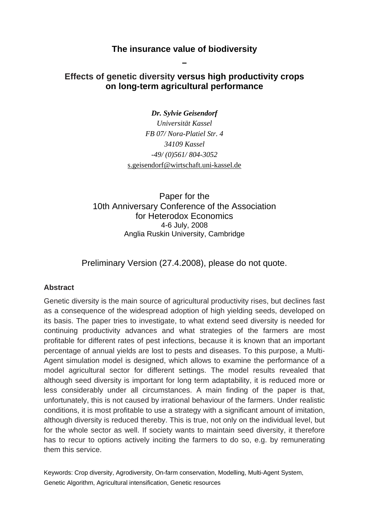## **The insurance value of biodiversity**

**–** 

# **Effects of genetic diversity versus high productivity crops on long-term agricultural performance**

*Dr. Sylvie Geisendorf Universität Kassel FB 07/ Nora-Platiel Str. 4 34109 Kassel -49/ (0)561/ 804-3052*  s.geisendorf@wirtschaft.uni-kassel.de

Paper for the 10th Anniversary Conference of the Association for Heterodox Economics 4-6 July, 2008 Anglia Ruskin University, Cambridge

Preliminary Version (27.4.2008), please do not quote.

## **Abstract**

Genetic diversity is the main source of agricultural productivity rises, but declines fast as a consequence of the widespread adoption of high yielding seeds, developed on its basis. The paper tries to investigate, to what extend seed diversity is needed for continuing productivity advances and what strategies of the farmers are most profitable for different rates of pest infections, because it is known that an important percentage of annual yields are lost to pests and diseases. To this purpose, a Multi-Agent simulation model is designed, which allows to examine the performance of a model agricultural sector for different settings. The model results revealed that although seed diversity is important for long term adaptability, it is reduced more or less considerably under all circumstances. A main finding of the paper is that, unfortunately, this is not caused by irrational behaviour of the farmers. Under realistic conditions, it is most profitable to use a strategy with a significant amount of imitation, although diversity is reduced thereby. This is true, not only on the individual level, but for the whole sector as well. If society wants to maintain seed diversity, it therefore has to recur to options actively inciting the farmers to do so, e.g. by remunerating them this service.

Keywords: Crop diversity, Agrodiversity, On-farm conservation, Modelling, Multi-Agent System, Genetic Algorithm, Agricultural intensification, Genetic resources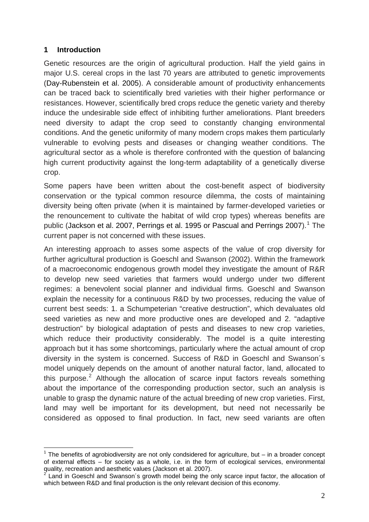## **1 Introduction**

1

Genetic resources are the origin of agricultural production. Half the yield gains in major U.S. cereal crops in the last 70 years are attributed to genetic improvements (Day-Rubenstein et al. 2005). A considerable amount of productivity enhancements can be traced back to scientifically bred varieties with their higher performance or resistances. However, scientifically bred crops reduce the genetic variety and thereby induce the undesirable side effect of inhibiting further ameliorations. Plant breeders need diversity to adapt the crop seed to constantly changing environmental conditions. And the genetic uniformity of many modern crops makes them particularly vulnerable to evolving pests and diseases or changing weather conditions. The agricultural sector as a whole is therefore confronted with the question of balancing high current productivity against the long-term adaptability of a genetically diverse crop.

Some papers have been written about the cost-benefit aspect of biodiversity conservation or the typical common resource dilemma, the costs of maintaining diversity being often private (when it is maintained by farmer-developed varieties or the renouncement to cultivate the habitat of wild crop types) whereas benefits are public (Jackson et al. 2007, Perrings et al. [1](#page-1-0)995 or Pascual and Perrings 2007).<sup>1</sup> The current paper is not concerned with these issues.

An interesting approach to asses some aspects of the value of crop diversity for further agricultural production is Goeschl and Swanson (2002). Within the framework of a macroeconomic endogenous growth model they investigate the amount of R&R to develop new seed varieties that farmers would undergo under two different regimes: a benevolent social planner and individual firms. Goeschl and Swanson explain the necessity for a continuous R&D by two processes, reducing the value of current best seeds: 1. a Schumpeterian "creative destruction", which devaluates old seed varieties as new and more productive ones are developed and 2. "adaptive destruction" by biological adaptation of pests and diseases to new crop varieties, which reduce their productivity considerably. The model is a quite interesting approach but it has some shortcomings, particularly where the actual amount of crop diversity in the system is concerned. Success of R&D in Goeschl and Swanson´s model uniquely depends on the amount of another natural factor, land, allocated to this purpose.<sup>[2](#page-1-1)</sup> Although the allocation of scarce input factors reveals something about the importance of the corresponding production sector, such an analysis is unable to grasp the dynamic nature of the actual breeding of new crop varieties. First, land may well be important for its development, but need not necessarily be considered as opposed to final production. In fact, new seed variants are often

<span id="page-1-0"></span> $1$  The benefits of agrobiodiversity are not only condsidered for agriculture, but  $-$  in a broader concept of external effects – for society as a whole, i.e. in the form of ecological services, environmental quality, recreation and aesthetic values (Jackson et al. 2007).<br><sup>2</sup> Land in Cassabl and Suranear's grouth model being the g

<span id="page-1-1"></span>Land in Goeschl and Swanson´s growth model being the only scarce input factor, the allocation of which between R&D and final production is the only relevant decision of this economy.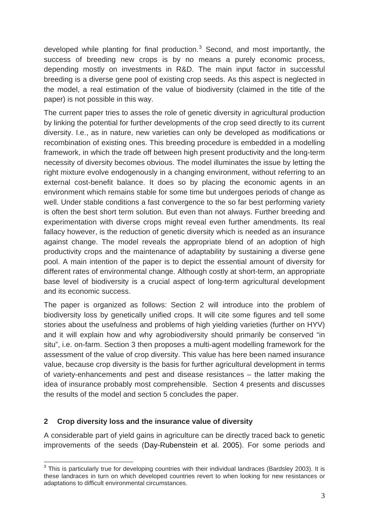developed while planting for final production. $3$  Second, and most importantly, the success of breeding new crops is by no means a purely economic process, depending mostly on investments in R&D. The main input factor in successful breeding is a diverse gene pool of existing crop seeds. As this aspect is neglected in the model, a real estimation of the value of biodiversity (claimed in the title of the paper) is not possible in this way.

The current paper tries to asses the role of genetic diversity in agricultural production by linking the potential for further developments of the crop seed directly to its current diversity. I.e., as in nature, new varieties can only be developed as modifications or recombination of existing ones. This breeding procedure is embedded in a modelling framework, in which the trade off between high present productivity and the long-term necessity of diversity becomes obvious. The model illuminates the issue by letting the right mixture evolve endogenously in a changing environment, without referring to an external cost-benefit balance. It does so by placing the economic agents in an environment which remains stable for some time but undergoes periods of change as well. Under stable conditions a fast convergence to the so far best performing variety is often the best short term solution. But even than not always. Further breeding and experimentation with diverse crops might reveal even further amendments. Its real fallacy however, is the reduction of genetic diversity which is needed as an insurance against change. The model reveals the appropriate blend of an adoption of high productivity crops and the maintenance of adaptability by sustaining a diverse gene pool. A main intention of the paper is to depict the essential amount of diversity for different rates of environmental change. Although costly at short-term, an appropriate base level of biodiversity is a crucial aspect of long-term agricultural development and its economic success.

The paper is organized as follows: Section 2 will introduce into the problem of biodiversity loss by genetically unified crops. It will cite some figures and tell some stories about the usefulness and problems of high yielding varieties (further on HYV) and it will explain how and why agrobiodiversity should primarily be conserved "in situ", i.e. on-farm. Section 3 then proposes a multi-agent modelling framework for the assessment of the value of crop diversity. This value has here been named insurance value, because crop diversity is the basis for further agricultural development in terms of variety-enhancements and pest and disease resistances – the latter making the idea of insurance probably most comprehensible. Section 4 presents and discusses the results of the model and section 5 concludes the paper.

## **2 Crop diversity loss and the insurance value of diversity**

A considerable part of yield gains in agriculture can be directly traced back to genetic improvements of the seeds (Day-Rubenstein et al. 2005). For some periods and

<span id="page-2-0"></span><sup>1</sup>  $3$  This is particularly true for developing countries with their individual landraces (Bardsley 2003). It is these landraces in turn on which developed countries revert to when looking for new resistances or adaptations to difficult environmental circumstances.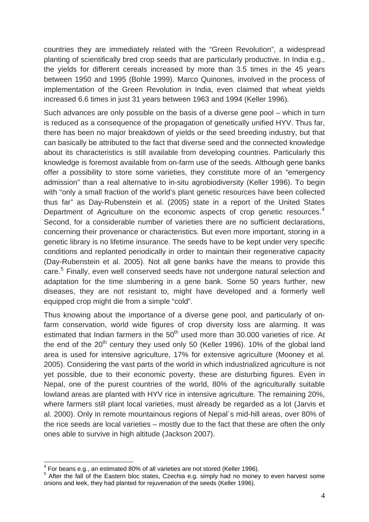countries they are immediately related with the "Green Revolution", a widespread planting of scientifically bred crop seeds that are particularly productive. In India e.g., the yields for different cereals increased by more than 3.5 times in the 45 years between 1950 and 1995 (Bohle 1999). Marco Quinones, involved in the process of implementation of the Green Revolution in India, even claimed that wheat yields increased 6.6 times in just 31 years between 1963 and 1994 (Keller 1996).

Such advances are only possible on the basis of a diverse gene pool – which in turn is reduced as a consequence of the propagation of genetically unified HYV. Thus far, there has been no major breakdown of yields or the seed breeding industry, but that can basically be attributed to the fact that diverse seed and the connected knowledge about its characteristics is still available from developing countries. Particularly this knowledge is foremost available from on-farm use of the seeds. Although gene banks offer a possibility to store some varieties, they constitute more of an "emergency admission" than a real alternative to in-situ agrobiodiversity (Keller 1996). To begin with "only a small fraction of the world's plant genetic resources have been collected thus far" as Day-Rubenstein et al. (2005) state in a report of the United States Department of Agriculture on the economic aspects of crop genetic resources.<sup>[4](#page-3-0)</sup> Second, for a considerable number of varieties there are no sufficient declarations, concerning their provenance or characteristics. But even more important, storing in a genetic library is no lifetime insurance. The seeds have to be kept under very specific conditions and replanted periodically in order to maintain their regenerative capacity (Day-Rubenstein et al. 2005). Not all gene banks have the means to provide this care.<sup>[5](#page-3-1)</sup> Finally, even well conserved seeds have not undergone natural selection and adaptation for the time slumbering in a gene bank. Some 50 years further, new diseases, they are not resistant to, might have developed and a formerly well equipped crop might die from a simple "cold".

Thus knowing about the importance of a diverse gene pool, and particularly of onfarm conservation, world wide figures of crop diversity loss are alarming. It was estimated that Indian farmers in the  $50<sup>th</sup>$  used more than 30.000 varieties of rice. At the end of the  $20<sup>th</sup>$  century they used only 50 (Keller 1996). 10% of the global land area is used for intensive agriculture, 17% for extensive agriculture (Mooney et al. 2005). Considering the vast parts of the world in which industrialized agriculture is not yet possible, due to their economic poverty, these are disturbing figures. Even in Nepal, one of the purest countries of the world, 80% of the agriculturally suitable lowland areas are planted with HYV rice in intensive agriculture. The remaining 20%, where farmers still plant local varieties, must already be regarded as a lot (Jarvis et al. 2000). Only in remote mountainous regions of Nepal´s mid-hill areas, over 80% of the rice seeds are local varieties – mostly due to the fact that these are often the only ones able to survive in high altitude (Jackson 2007).

<span id="page-3-0"></span> $^4$  For beans e.g., an estimated 80% of all varieties are not stored (Keller 1996).<br>5. After the fall of the Fostern bles states. Creshing a graphy had no manau

<span id="page-3-1"></span><sup>&</sup>lt;sup>5</sup> After the fall of the Eastern bloc states, Czechia e.g. simply had no money to even harvest some onions and leek, they had planted for rejuvenation of the seeds (Keller 1996).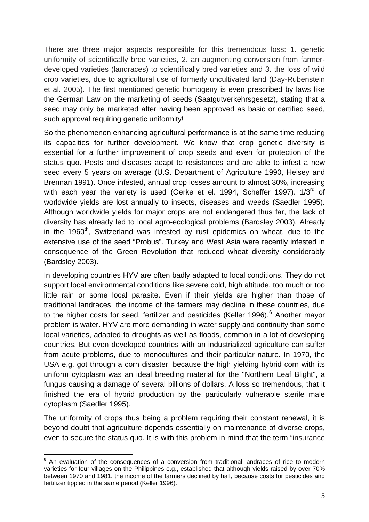There are three major aspects responsible for this tremendous loss: 1. genetic uniformity of scientifically bred varieties, 2. an augmenting conversion from farmerdeveloped varieties (landraces) to scientifically bred varieties and 3. the loss of wild crop varieties, due to agricultural use of formerly uncultivated land (Day-Rubenstein et al. 2005). The first mentioned genetic homogeny is even prescribed by laws like the German Law on the marketing of seeds (Saatgutverkehrsgesetz), stating that a seed may only be marketed after having been approved as basic or certified seed, such approval requiring genetic uniformity!

So the phenomenon enhancing agricultural performance is at the same time reducing its capacities for further development. We know that crop genetic diversity is essential for a further improvement of crop seeds and even for protection of the status quo. Pests and diseases adapt to resistances and are able to infest a new seed every 5 years on average (U.S. Department of Agriculture 1990, Heisey and Brennan 1991). Once infested, annual crop losses amount to almost 30%, increasing with each year the variety is used (Oerke et el. 1994, Scheffer 1997). 1/3<sup>rd</sup> of worldwide yields are lost annually to insects, diseases and weeds (Saedler 1995). Although worldwide yields for major crops are not endangered thus far, the lack of diversity has already led to local agro-ecological problems (Bardsley 2003). Already in the 1960<sup>th</sup>, Switzerland was infested by rust epidemics on wheat, due to the extensive use of the seed "Probus". Turkey and West Asia were recently infested in consequence of the Green Revolution that reduced wheat diversity considerably (Bardsley 2003).

In developing countries HYV are often badly adapted to local conditions. They do not support local environmental conditions like severe cold, high altitude, too much or too little rain or some local parasite. Even if their yields are higher than those of traditional landraces, the income of the farmers may decline in these countries, due to the higher costs for seed, fertilizer and pesticides (Keller 199[6](#page-4-0)).<sup>6</sup> Another mayor problem is water. HYV are more demanding in water supply and continuity than some local varieties, adapted to droughts as well as floods, common in a lot of developing countries. But even developed countries with an industrialized agriculture can suffer from acute problems, due to monocultures and their particular nature. In 1970, the USA e.g. got through a corn disaster, because the high yielding hybrid corn with its uniform cytoplasm was an ideal breeding material for the "Northern Leaf Blight", a fungus causing a damage of several billions of dollars. A loss so tremendous, that it finished the era of hybrid production by the particularly vulnerable sterile male cytoplasm (Saedler 1995).

The uniformity of crops thus being a problem requiring their constant renewal, it is beyond doubt that agriculture depends essentially on maintenance of diverse crops, even to secure the status quo. It is with this problem in mind that the term "insurance

<span id="page-4-0"></span> 6 An evaluation of the consequences of a conversion from traditional landraces of rice to modern varieties for four villages on the Philippines e.g., established that although yields raised by over 70% between 1970 and 1981, the income of the farmers declined by half, because costs for pesticides and fertilizer tippled in the same period (Keller 1996).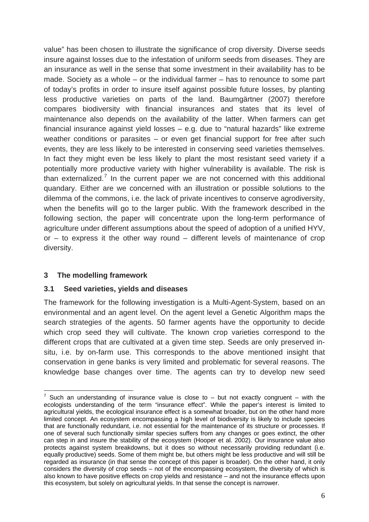value" has been chosen to illustrate the significance of crop diversity. Diverse seeds insure against losses due to the infestation of uniform seeds from diseases. They are an insurance as well in the sense that some investment in their availability has to be made. Society as a whole – or the individual farmer – has to renounce to some part of today's profits in order to insure itself against possible future losses, by planting less productive varieties on parts of the land. Baumgärtner (2007) therefore compares biodiversity with financial insurances and states that its level of maintenance also depends on the availability of the latter. When farmers can get financial insurance against yield losses – e.g. due to "natural hazards" like extreme weather conditions or parasites – or even get financial support for free after such events, they are less likely to be interested in conserving seed varieties themselves. In fact they might even be less likely to plant the most resistant seed variety if a potentially more productive variety with higher vulnerability is available. The risk is than externalized.<sup>[7](#page-5-0)</sup> In the current paper we are not concerned with this additional quandary. Either are we concerned with an illustration or possible solutions to the dilemma of the commons, i.e. the lack of private incentives to conserve agrodiversity, when the benefits will go to the larger public. With the framework described in the following section, the paper will concentrate upon the long-term performance of agriculture under different assumptions about the speed of adoption of a unified HYV, or  $-$  to express it the other way round  $-$  different levels of maintenance of crop diversity.

## **3 The modelling framework**

1

## **3.1 Seed varieties, yields and diseases**

The framework for the following investigation is a Multi-Agent-System, based on an environmental and an agent level. On the agent level a Genetic Algorithm maps the search strategies of the agents. 50 farmer agents have the opportunity to decide which crop seed they will cultivate. The known crop varieties correspond to the different crops that are cultivated at a given time step. Seeds are only preserved insitu, i.e. by on-farm use. This corresponds to the above mentioned insight that conservation in gene banks is very limited and problematic for several reasons. The knowledge base changes over time. The agents can try to develop new seed

<span id="page-5-0"></span><sup>&</sup>lt;sup>7</sup> Such an understanding of insurance value is close to  $-$  but not exactly congruent  $-$  with the ecologists understanding of the term "insurance effect". While the paper's interest is limited to agricultural yields, the ecological insurance effect is a somewhat broader, but on the other hand more limited concept. An ecosystem encompassing a high level of biodiversity is likely to include species that are functionally redundant, i.e. not essential for the maintenance of its structure or processes. If one of several such functionally similar species suffers from any changes or goes extinct, the other can step in and insure the stability of the ecosystem (Hooper et al. 2002). Our insurance value also protects against system breakdowns, but it does so without necessarily providing redundant (i.e. equally productive) seeds. Some of them might be, but others might be less productive and will still be regarded as insurance (in that sense the concept of this paper is broader). On the other hand, it only considers the diversity of crop seeds – not of the encompassing ecosystem, the diversity of which is also known to have positive effects on crop yields and resistance – and not the insurance effects upon this ecosystem, but solely on agricultural yields. In that sense the concept is narrower.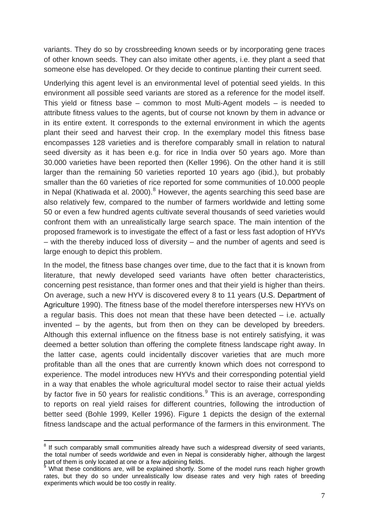variants. They do so by crossbreeding known seeds or by incorporating gene traces of other known seeds. They can also imitate other agents, i.e. they plant a seed that someone else has developed. Or they decide to continue planting their current seed.

Underlying this agent level is an environmental level of potential seed yields. In this environment all possible seed variants are stored as a reference for the model itself. This yield or fitness base – common to most Multi-Agent models – is needed to attribute fitness values to the agents, but of course not known by them in advance or in its entire extent. It corresponds to the external environment in which the agents plant their seed and harvest their crop. In the exemplary model this fitness base encompasses 128 varieties and is therefore comparably small in relation to natural seed diversity as it has been e.g. for rice in India over 50 years ago. More than 30.000 varieties have been reported then (Keller 1996). On the other hand it is still larger than the remaining 50 varieties reported 10 years ago (ibid.), but probably smaller than the 60 varieties of rice reported for some communities of 10.000 people in Nepal (Khatiwada et al. 2000).<sup>[8](#page-6-0)</sup> However, the agents searching this seed base are also relatively few, compared to the number of farmers worldwide and letting some 50 or even a few hundred agents cultivate several thousands of seed varieties would confront them with an unrealistically large search space. The main intention of the proposed framework is to investigate the effect of a fast or less fast adoption of HYVs – with the thereby induced loss of diversity – and the number of agents and seed is large enough to depict this problem.

In the model, the fitness base changes over time, due to the fact that it is known from literature, that newly developed seed variants have often better characteristics, concerning pest resistance, than former ones and that their yield is higher than theirs. On average, such a new HYV is discovered every 8 to 11 years (U.S. Department of Agriculture 1990). The fitness base of the model therefore intersperses new HYVs on a regular basis. This does not mean that these have been detected – i.e. actually invented – by the agents, but from then on they can be developed by breeders. Although this external influence on the fitness base is not entirely satisfying, it was deemed a better solution than offering the complete fitness landscape right away. In the latter case, agents could incidentally discover varieties that are much more profitable than all the ones that are currently known which does not correspond to experience. The model introduces new HYVs and their corresponding potential yield in a way that enables the whole agricultural model sector to raise their actual yields by factor five in 50 years for realistic conditions.<sup>[9](#page-6-1)</sup> This is an average, corresponding to reports on real yield raises for different countries, following the introduction of better seed (Bohle 1999, Keller 1996). Figure 1 depicts the design of the external fitness landscape and the actual performance of the farmers in this environment. The

<span id="page-6-0"></span><sup>&</sup>lt;sup>8</sup> If such comparably small communities already have such a widespread diversity of seed variants, the total number of seeds worldwide and even in Nepal is considerably higher, although the largest part of them is only located at one or a few adjoining fields.<br><sup>9</sup> What these conditions are will be evaloined shortly. So

<span id="page-6-1"></span>What these conditions are, will be explained shortly. Some of the model runs reach higher growth rates, but they do so under unrealistically low disease rates and very high rates of breeding experiments which would be too costly in reality.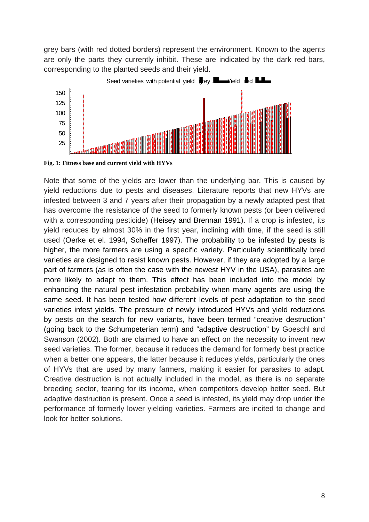grey bars (with red dotted borders) represent the environment. Known to the agents are only the parts they currently inhibit. These are indicated by the dark red bars, corresponding to the planted seeds and their yield.<br>Seed varieties with potential yield  $\bullet$  ey  $\bullet$  Yield  $\bullet$   $\bullet$ corresponding to the planted seeds and their yi eld.



**Fig. 1: Fitness base and current yield with HYVs** 

Note that some of the yields are lower than the underlying bar. This is caused by yield reductions due to pests and diseases. Literature reports that new HYVs are infested between 3 and 7 years after their propagation by a newly adapted pest that has overcome the resistance of the seed to formerly known pests (or been delivered with a corresponding pesticide) (Heisey and Brennan 1991). If a crop is infested, its yield reduces by almost 30% in the first year, inclining with time, if the seed is still used (Oerke et el. 1994, Scheffer 1997). The probability to be infested by pests is higher, the more farmers are using a specific variety. Particularly scientifically bred varieties are designed to resist known pests. However, if they are adopted by a large part of farmers (as is often the case with the newest HYV in the USA), parasites are more likely to adapt to them. This effect has been included into the model by enhancing the natural pest infestation probability when many agents are using the same seed. It has been tested how different levels of pest adaptation to the seed varieties infest yields. The pressure of newly introduced HYVs and yield reductions by pests on the search for new variants, have been termed "creative destruction" (going back to the Schumpeterian term) and "adaptive destruction" by Goeschl and Swanson (2002). Both are claimed to have an effect on the necessity to invent new seed varieties. The former, because it reduces the demand for formerly best practice when a better one appears, the latter because it reduces yields, particularly the ones of HYVs that are used by many farmers, making it easier for parasites to adapt. Creative destruction is not actually included in the model, as there is no separate breeding sector, fearing for its income, when competitors develop better seed. But adaptive destruction is present. Once a seed is infested, its yield may drop under the performance of formerly lower yielding varieties. Farmers are incited to change and look for better solutions.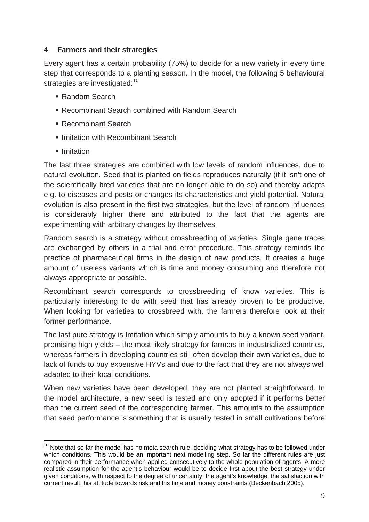## **4 Farmers and their strategies**

Every agent has a certain probability (75%) to decide for a new variety in every time step that corresponds to a planting season. In the model, the following 5 behavioural strategies are investigated:<sup>[10](#page-8-0)</sup>

- Random Search
- Recombinant Search combined with Random Search
- Recombinant Search
- Imitation with Recombinant Search
- Imitation

The last three strategies are combined with low levels of random influences, due to natural evolution. Seed that is planted on fields reproduces naturally (if it isn't one of the scientifically bred varieties that are no longer able to do so) and thereby adapts e.g. to diseases and pests or changes its characteristics and yield potential. Natural evolution is also present in the first two strategies, but the level of random influences is considerably higher there and attributed to the fact that the agents are experimenting with arbitrary changes by themselves.

Random search is a strategy without crossbreeding of varieties. Single gene traces are exchanged by others in a trial and error procedure. This strategy reminds the practice of pharmaceutical firms in the design of new products. It creates a huge amount of useless variants which is time and money consuming and therefore not always appropriate or possible.

Recombinant search corresponds to crossbreeding of know varieties. This is particularly interesting to do with seed that has already proven to be productive. When looking for varieties to crossbreed with, the farmers therefore look at their former performance.

The last pure strategy is Imitation which simply amounts to buy a known seed variant, promising high yields – the most likely strategy for farmers in industrialized countries, whereas farmers in developing countries still often develop their own varieties, due to lack of funds to buy expensive HYVs and due to the fact that they are not always well adapted to their local conditions.

When new varieties have been developed, they are not planted straightforward. In the model architecture, a new seed is tested and only adopted if it performs better than the current seed of the corresponding farmer. This amounts to the assumption that seed performance is something that is usually tested in small cultivations before

<span id="page-8-0"></span><sup>1</sup>  $10$  Note that so far the model has no meta search rule, deciding what strategy has to be followed under which conditions. This would be an important next modelling step. So far the different rules are just compared in their performance when applied consecutively to the whole population of agents. A more realistic assumption for the agent's behaviour would be to decide first about the best strategy under given conditions, with respect to the degree of uncertainty, the agent's knowledge, the satisfaction with current result, his attitude towards risk and his time and money constraints (Beckenbach 2005).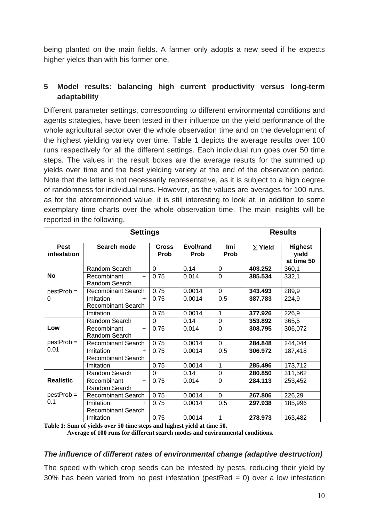being planted on the main fields. A farmer only adopts a new seed if he expects higher yields than with his former one.

## **5 Model results: balancing high current productivity versus long-term adaptability**

Different parameter settings, corresponding to different environmental conditions and agents strategies, have been tested in their influence on the yield performance of the whole agricultural sector over the whole observation time and on the development of the highest yielding variety over time. Table 1 depicts the average results over 100 runs respectively for all the different settings. Each individual run goes over 50 time steps. The values in the result boxes are the average results for the summed up yields over time and the best yielding variety at the end of the observation period. Note that the latter is not necessarily representative, as it is subject to a high degree of randomness for individual runs. However, as the values are averages for 100 runs, as for the aforementioned value, it is still interesting to look at, in addition to some exemplary time charts over the whole observation time. The main insights will be reported in the following.

| <b>Settings</b>                         |                                               |                      |                   |                    | <b>Results</b> |                                       |
|-----------------------------------------|-----------------------------------------------|----------------------|-------------------|--------------------|----------------|---------------------------------------|
| <b>Pest</b><br>infestation              | Search mode                                   | <b>Cross</b><br>Prob | Evol/rand<br>Prob | <b>Imi</b><br>Prob | $\Sigma$ Yield | <b>Highest</b><br>yield<br>at time 50 |
|                                         | Random Search                                 | $\Omega$             | 0.14              | $\Omega$           | 403.252        | 360,1                                 |
| <b>No</b>                               | Recombinant<br>$+$<br>Random Search           | 0.75                 | 0.014             | $\Omega$           | 385.534        | 332,1                                 |
| $pestProb =$                            | <b>Recombinant Search</b>                     | 0.75                 | 0.0014            | $\Omega$           | 343.493        | 289,9                                 |
| 0                                       | Imitation<br>$+$<br><b>Recombinant Search</b> | 0.75                 | 0.0014            | 0.5                | 387.783        | 224,9                                 |
|                                         | Imitation                                     | 0.75                 | 0.0014            | $\mathbf 1$        | 377.926        | 226,9                                 |
|                                         | Random Search                                 | $\Omega$             | 0.14              | $\overline{0}$     | 353.892        | 365,5                                 |
| Low                                     | Recombinant<br>$+$<br><b>Random Search</b>    | 0.75                 | 0.014             | $\overline{0}$     | 308.795        | 306,072                               |
| $pestProb =$                            | <b>Recombinant Search</b>                     | 0.75                 | 0.0014            | $\Omega$           | 284.848        | 244,044                               |
| 0.01                                    | Imitation<br>$+$<br><b>Recombinant Search</b> | 0.75                 | 0.0014            | 0.5                | 306.972        | 187,418                               |
|                                         | Imitation                                     | 0.75                 | 0.0014            | $\overline{1}$     | 285.496        | 173,712                               |
|                                         | Random Search                                 | $\Omega$             | 0.14              | $\overline{0}$     | 280.850        | 311,562                               |
| <b>Realistic</b><br>$pestProb =$<br>0.1 | Recombinant<br>$+$<br>Random Search           | 0.75                 | 0.014             | $\Omega$           | 284.113        | 253,452                               |
|                                         | <b>Recombinant Search</b>                     | 0.75                 | 0.0014            | $\Omega$           | 267.806        | 226,29                                |
|                                         | Imitation<br>$+$<br><b>Recombinant Search</b> | 0.75                 | 0.0014            | 0.5                | 297.938        | 185,996                               |
|                                         | Imitation                                     | 0.75                 | 0.0014            | 1                  | 278.973        | 163,482                               |

**Table 1: Sum of yields over 50 time steps and highest yield at time 50.** 

 **Average of 100 runs for different search modes and environmental conditions.** 

#### *The influence of different rates of environmental change (adaptive destruction)*

The speed with which crop seeds can be infested by pests, reducing their yield by 30% has been varied from no pest infestation (pestRed  $= 0$ ) over a low infestation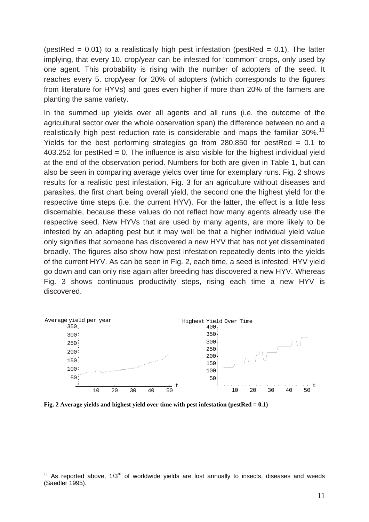(pestRed =  $0.01$ ) to a realistically high pest infestation (pestRed =  $0.1$ ). The latter implying, that every 10. crop/year can be infested for "common" crops, only used by one agent. This probability is rising with the number of adopters of the seed. It reaches every 5. crop/year for 20% of adopters (which corresponds to the figures from literature for HYVs) and goes even higher if more than 20% of the farmers are planting the same variety.

In the summed up yields over all agents and all runs (i.e. the outcome of the agricultural sector over the whole observation span) the difference between no and a realistically high pest reduction rate is considerable and maps the familiar  $30\%$ .<sup>[11](#page-10-0)</sup> Yields for the best performing strategies go from  $280.850$  for pestRed = 0.1 to  $403.252$  for pestRed = 0. The influence is also visible for the highest individual yield at the end of the observation period. Numbers for both are given in Table 1, but can also be seen in comparing average yields over time for exemplary runs. Fig. 2 shows results for a realistic pest infestation, Fig. 3 for an agriculture without diseases and parasites, the first chart being overall yield, the second one the highest yield for the respective time steps (i.e. the current HYV). For the latter, the effect is a little less discernable, because these values do not reflect how many agents already use the respective seed. New HYVs that are used by many agents, are more likely to be infested by an adapting pest but it may well be that a higher individual yield value only signifies that someone has discovered a new HYV that has not yet disseminated broadly. The figures also show how pest infestation repeatedly dents into the yields of the current HYV. As can be seen in Fig. 2, each time, a seed is infested, HYV yield go down and can only rise again after breeding has discovered a new HYV. Whereas Fig. 3 shows continuous productivity steps, rising each time a new HYV is discovered.



**Fig. 2 Average yields and highest yield over time with pest infestation (pestRed = 0.1)** 

<span id="page-10-0"></span> $11$  As reported above, 1/3<sup>rd</sup> of worldwide yields are lost annually to insects, diseases and weeds (Saedler 1995).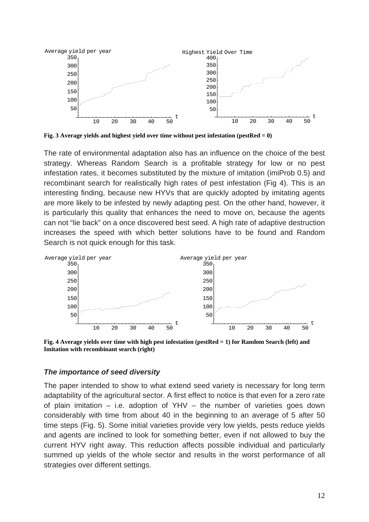

**Fig. 3 Average yields and highest yield over time without pest infestation (pestRed = 0)** 

The rate of environmental adaptation also has an influence on the choice of the best strategy. Whereas Random Search is a profitable strategy for low or no pest infestation rates, it becomes substituted by the mixture of imitation (imiProb 0.5) and recombinant search for realistically high rates of pest infestation (Fig 4). This is an interesting finding, because new HYVs that are quickly adopted by imitating agents are more likely to be infested by newly adapting pest. On the other hand, however, it is particularly this quality that enhances the need to move on, because the agents can not "lie back" on a once discovered best seed. A high rate of adaptive destruction increases the speed with which better solutions have to be found and Random Search is not quick enough for this task.



**Fig. 4 Average yields over time with high pest infestation (pestRed = 1) for Random Search (left) and Imitation with recombinant search (right)** 

#### *The importance of seed diversity*

The paper intended to show to what extend seed variety is necessary for long term adaptability of the agricultural sector. A first effect to notice is that even for a zero rate of plain imitation – i.e. adoption of YHV – the number of varieties goes down considerably with time from about 40 in the beginning to an average of 5 after 50 time steps (Fig. 5). Some initial varieties provide very low yields, pests reduce yields and agents are inclined to look for something better, even if not allowed to buy the current HYV right away. This reduction affects possible individual and particularly summed up yields of the whole sector and results in the worst performance of all strategies over different settings.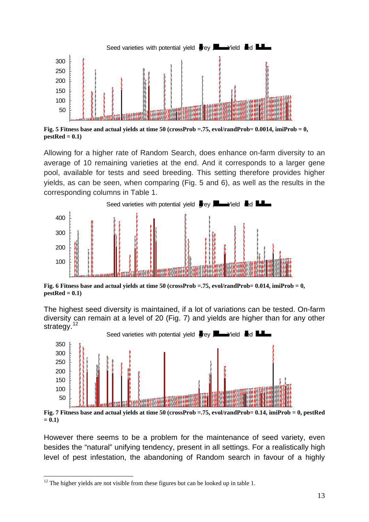

**Fig. 5 Fitness base and actual yields at time 50 (crossProb =.75, evol/randProb= 0.0014, imiProb = 0, pestRed = 0.1)** 

Allowing for a higher rate of Random Search, does enhance on-farm diversity to an average of 10 remaining varieties at the end. And it corresponds to a larger gene pool, available for tests and seed breeding. This setting therefore provides higher yields, as can be seen, when comparing (Fig. 5 and 6), as well as the results in the corresponding columns in Table 1.<br>Seed varieties with potential yield  $\bullet$  ey  $\bullet$  Yield  $\bullet$  d corresponding columns in Table 1.



**Fig. 6 Fitness base and actual yields at time 50 (crossProb =.75, evol/randProb= 0.014, imiProb = 0, pestRed = 0.1)** 

The highest seed diversity is maintained, if a lot of variations can be tested. On-farm diversity can remain at a level of 20 (Fig. 7) and yields are higher than for any other strategy.<sup>[12](#page-12-0)</sup> structure is maintained, if a lot of variations can be<br>in at a level of 20 (Fig. 7) and yields are higher the<br>Seed varieties with potential yield  $\blacksquare$  ey  $\blacksquare$  Yield  $\blacksquare$  of  $\blacksquare$ 



**Fig. 7 Fitness base and actual yields at time 50 (crossProb =.75, evol/randProb= 0.14, imiProb = 0, pestRed**   $= 0.1$ 

However there seems to be a problem for the maintenance of seed variety, even besides the "natural" unifying tendency, present in all settings. For a realistically high level of pest infestation, the abandoning of Random search in favour of a highly

<span id="page-12-0"></span> $12$  The higher yields are not visible from these figures but can be looked up in table 1.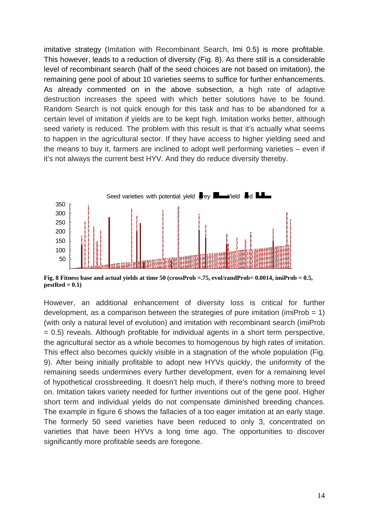imitative strategy (Imitation with Recombinant Search, Imi 0.5) is more profitable. This however, leads to a reduction of diversity (Fig. 8). As there still is a considerable level of recombinant search (half of the seed choices are not based on imitation), the remaining gene pool of about 10 varieties seems to suffice for further enhancements. As already commented on in the above subsection, a high rate of adaptive destruction increases the speed with which better solutions have to be found. Random Search is not quick enough for this task and has to be abandoned for a certain level of imitation if yields are to be kept high. Imitation works better, although seed variety is reduced. The problem with this result is that it's actually what seems to happen in the agricultural sector. If they have access to higher yielding seed and the means to buy it, farmers are inclined to adopt well performing varieties – even if it's not always the current best HYV. And they do reduce diversity thereby.



**Fig. 8 Fitness base and actual yields at time 50 (crossProb =.75, evol/randProb= 0.0014, imiProb = 0.5, pestRed = 0.1)** 

However, an additional enhancement of diversity loss is critical for further development, as a comparison between the strategies of pure imitation (imiProb  $= 1$ ) (with only a natural level of evolution) and imitation with recombinant search (imiProb = 0.5) reveals. Although profitable for individual agents in a short term perspective, the agricultural sector as a whole becomes to homogenous by high rates of imitation. This effect also becomes quickly visible in a stagnation of the whole population (Fig. 9). After being initially profitable to adopt new HYVs quickly, the uniformity of the remaining seeds undermines every further development, even for a remaining level of hypothetical crossbreeding. It doesn't help much, if there's nothing more to breed on. Imitation takes variety needed for further inventions out of the gene pool. Higher short term and individual yields do not compensate diminished breeding chances. The example in figure 6 shows the fallacies of a too eager imitation at an early stage. The formerly 50 seed varieties have been reduced to only 3, concentrated on varieties that have been HYVs a long time ago. The opportunities to discover significantly more profitable seeds are foregone.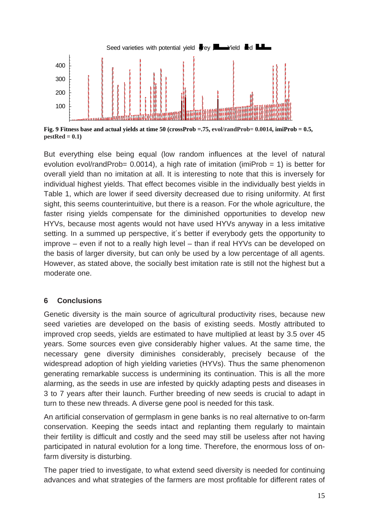

**Fig. 9 Fitness base and actual yields at time 50 (crossProb =.75, evol/randProb= 0.0014, imiProb = 0.5, pestRed = 0.1)** 

But everything else being equal (low random influences at the level of natural evolution evol/randProb=  $0.0014$ ), a high rate of imitation (imiProb = 1) is better for overall yield than no imitation at all. It is interesting to note that this is inversely for individual highest yields. That effect becomes visible in the individually best yields in Table 1, which are lower if seed diversity decreased due to rising uniformity. At first sight, this seems counterintuitive, but there is a reason. For the whole agriculture, the faster rising yields compensate for the diminished opportunities to develop new HYVs, because most agents would not have used HYVs anyway in a less imitative setting. In a summed up perspective, it's better if everybody gets the opportunity to improve – even if not to a really high level – than if real HYVs can be developed on the basis of larger diversity, but can only be used by a low percentage of all agents. However, as stated above, the socially best imitation rate is still not the highest but a moderate one.

## **6 Conclusions**

Genetic diversity is the main source of agricultural productivity rises, because new seed varieties are developed on the basis of existing seeds. Mostly attributed to improved crop seeds, yields are estimated to have multiplied at least by 3.5 over 45 years. Some sources even give considerably higher values. At the same time, the necessary gene diversity diminishes considerably, precisely because of the widespread adoption of high yielding varieties (HYVs). Thus the same phenomenon generating remarkable success is undermining its continuation. This is all the more alarming, as the seeds in use are infested by quickly adapting pests and diseases in 3 to 7 years after their launch. Further breeding of new seeds is crucial to adapt in turn to these new threads. A diverse gene pool is needed for this task.

An artificial conservation of germplasm in gene banks is no real alternative to on-farm conservation. Keeping the seeds intact and replanting them regularly to maintain their fertility is difficult and costly and the seed may still be useless after not having participated in natural evolution for a long time. Therefore, the enormous loss of onfarm diversity is disturbing.

The paper tried to investigate, to what extend seed diversity is needed for continuing advances and what strategies of the farmers are most profitable for different rates of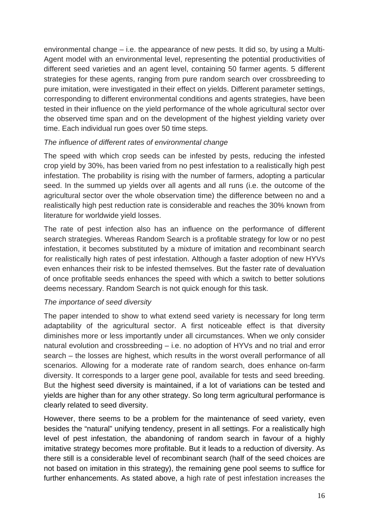environmental change – i.e. the appearance of new pests. It did so, by using a Multi-Agent model with an environmental level, representing the potential productivities of different seed varieties and an agent level, containing 50 farmer agents. 5 different strategies for these agents, ranging from pure random search over crossbreeding to pure imitation, were investigated in their effect on yields. Different parameter settings, corresponding to different environmental conditions and agents strategies, have been tested in their influence on the yield performance of the whole agricultural sector over the observed time span and on the development of the highest yielding variety over time. Each individual run goes over 50 time steps.

## *The influence of different rates of environmental change*

The speed with which crop seeds can be infested by pests, reducing the infested crop yield by 30%, has been varied from no pest infestation to a realistically high pest infestation. The probability is rising with the number of farmers, adopting a particular seed. In the summed up yields over all agents and all runs (i.e. the outcome of the agricultural sector over the whole observation time) the difference between no and a realistically high pest reduction rate is considerable and reaches the 30% known from literature for worldwide yield losses.

The rate of pest infection also has an influence on the performance of different search strategies. Whereas Random Search is a profitable strategy for low or no pest infestation, it becomes substituted by a mixture of imitation and recombinant search for realistically high rates of pest infestation. Although a faster adoption of new HYVs even enhances their risk to be infested themselves. But the faster rate of devaluation of once profitable seeds enhances the speed with which a switch to better solutions deems necessary. Random Search is not quick enough for this task.

## *The importance of seed diversity*

The paper intended to show to what extend seed variety is necessary for long term adaptability of the agricultural sector. A first noticeable effect is that diversity diminishes more or less importantly under all circumstances. When we only consider natural evolution and crossbreeding – i.e. no adoption of HYVs and no trial and error search – the losses are highest, which results in the worst overall performance of all scenarios. Allowing for a moderate rate of random search, does enhance on-farm diversity. It corresponds to a larger gene pool, available for tests and seed breeding. But the highest seed diversity is maintained, if a lot of variations can be tested and yields are higher than for any other strategy. So long term agricultural performance is clearly related to seed diversity.

However, there seems to be a problem for the maintenance of seed variety, even besides the "natural" unifying tendency, present in all settings. For a realistically high level of pest infestation, the abandoning of random search in favour of a highly imitative strategy becomes more profitable. But it leads to a reduction of diversity. As there still is a considerable level of recombinant search (half of the seed choices are not based on imitation in this strategy), the remaining gene pool seems to suffice for further enhancements. As stated above, a high rate of pest infestation increases the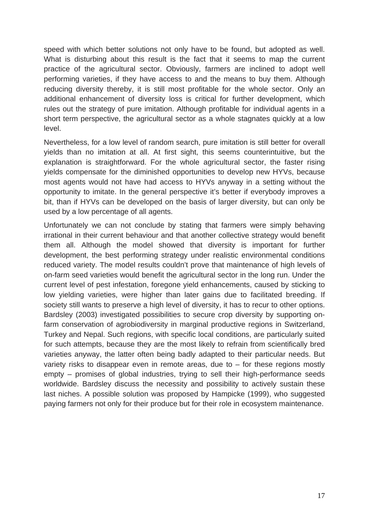speed with which better solutions not only have to be found, but adopted as well. What is disturbing about this result is the fact that it seems to map the current practice of the agricultural sector. Obviously, farmers are inclined to adopt well performing varieties, if they have access to and the means to buy them. Although reducing diversity thereby, it is still most profitable for the whole sector. Only an additional enhancement of diversity loss is critical for further development, which rules out the strategy of pure imitation. Although profitable for individual agents in a short term perspective, the agricultural sector as a whole stagnates quickly at a low level.

Nevertheless, for a low level of random search, pure imitation is still better for overall yields than no imitation at all. At first sight, this seems counterintuitive, but the explanation is straightforward. For the whole agricultural sector, the faster rising yields compensate for the diminished opportunities to develop new HYVs, because most agents would not have had access to HYVs anyway in a setting without the opportunity to imitate. In the general perspective it's better if everybody improves a bit, than if HYVs can be developed on the basis of larger diversity, but can only be used by a low percentage of all agents.

Unfortunately we can not conclude by stating that farmers were simply behaving irrational in their current behaviour and that another collective strategy would benefit them all. Although the model showed that diversity is important for further development, the best performing strategy under realistic environmental conditions reduced variety. The model results couldn't prove that maintenance of high levels of on-farm seed varieties would benefit the agricultural sector in the long run. Under the current level of pest infestation, foregone yield enhancements, caused by sticking to low yielding varieties, were higher than later gains due to facilitated breeding. If society still wants to preserve a high level of diversity, it has to recur to other options. Bardsley (2003) investigated possibilities to secure crop diversity by supporting onfarm conservation of agrobiodiversity in marginal productive regions in Switzerland, Turkey and Nepal. Such regions, with specific local conditions, are particularly suited for such attempts, because they are the most likely to refrain from scientifically bred varieties anyway, the latter often being badly adapted to their particular needs. But variety risks to disappear even in remote areas, due to – for these regions mostly empty – promises of global industries, trying to sell their high-performance seeds worldwide. Bardsley discuss the necessity and possibility to actively sustain these last niches. A possible solution was proposed by Hampicke (1999), who suggested paying farmers not only for their produce but for their role in ecosystem maintenance.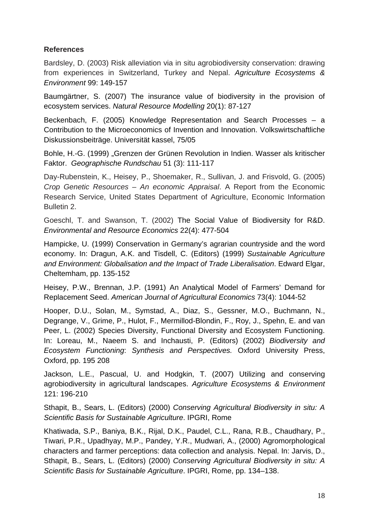## **References**

Bardsley, D. (2003) Risk alleviation via in situ agrobiodiversity conservation: drawing from experiences in Switzerland, Turkey and Nepal. *Agriculture Ecosystems & Environment* 99: 149-157

Baumgärtner, S. (2007) The insurance value of biodiversity in the provision of ecosystem services. *Natural Resource Modelling* 20(1): 87-127

Beckenbach, F. (2005) Knowledge Representation and Search Processes – a Contribution to the Microeconomics of Invention and Innovation. Volkswirtschaftliche Diskussionsbeiträge. Universität kassel, 75/05

Bohle, H.-G. (1999) "Grenzen der Grünen Revolution in Indien. Wasser als kritischer Faktor. *Geographische Rundschau* 51 (3): 111-117

Day-Rubenstein, K., Heisey, P., Shoemaker, R., Sullivan, J. and Frisvold, G. (2005) *Crop Genetic Resources – An economic Appraisal*. A Report from the Economic Research Service, United States Department of Agriculture, Economic Information Bulletin 2.

Goeschl, T. and Swanson, T. (2002) The Social Value of Biodiversity for R&D. *Environmental and Resource Economics* 22(4): 477-504

Hampicke, U. (1999) Conservation in Germany's agrarian countryside and the word economy. In: Dragun, A.K. and Tisdell, C. (Editors) (1999) *Sustainable Agriculture and Environment: Globalisation and the Impact of Trade Liberalisation*. Edward Elgar, Cheltemham, pp. 135-152

Heisey, P.W., Brennan, J.P. (1991) An Analytical Model of Farmers' Demand for Replacement Seed. *American Journal of Agricultural Economics* 73(4): 1044-52

Hooper, D.U., Solan, M., Symstad, A., Diaz, S., Gessner, M.O., Buchmann, N., Degrange, V., Grime, P., Hulot, F., Mermillod-Blondin, F., Roy, J., Spehn, E. and van Peer, L. (2002) Species Diversity, Functional Diversity and Ecosystem Functioning. In: Loreau, M., Naeem S. and Inchausti, P. (Editors) (2002) *Biodiversity and Ecosystem Functioning*: *Synthesis and Perspectives.* Oxford University Press, Oxford, pp. 195 208

Jackson, L.E., Pascual, U. and Hodgkin, T. (2007) Utilizing and conserving agrobiodiversity in agricultural landscapes. *Agriculture Ecosystems & Environment* 121: 196-210

Sthapit, B., Sears, L. (Editors) (2000) *Conserving Agricultural Biodiversity in situ: A Scientific Basis for Sustainable Agriculture*. IPGRI, Rome

Khatiwada, S.P., Baniya, B.K., Rijal, D.K., Paudel, C.L., Rana, R.B., Chaudhary, P., Tiwari, P.R., Upadhyay, M.P., Pandey, Y.R., Mudwari, A., (2000) Agromorphological characters and farmer perceptions: data collection and analysis. Nepal. In: Jarvis, D., Sthapit, B., Sears, L. (Editors) (2000) *Conserving Agricultural Biodiversity in situ: A Scientific Basis for Sustainable Agriculture*. IPGRI, Rome, pp. 134–138.